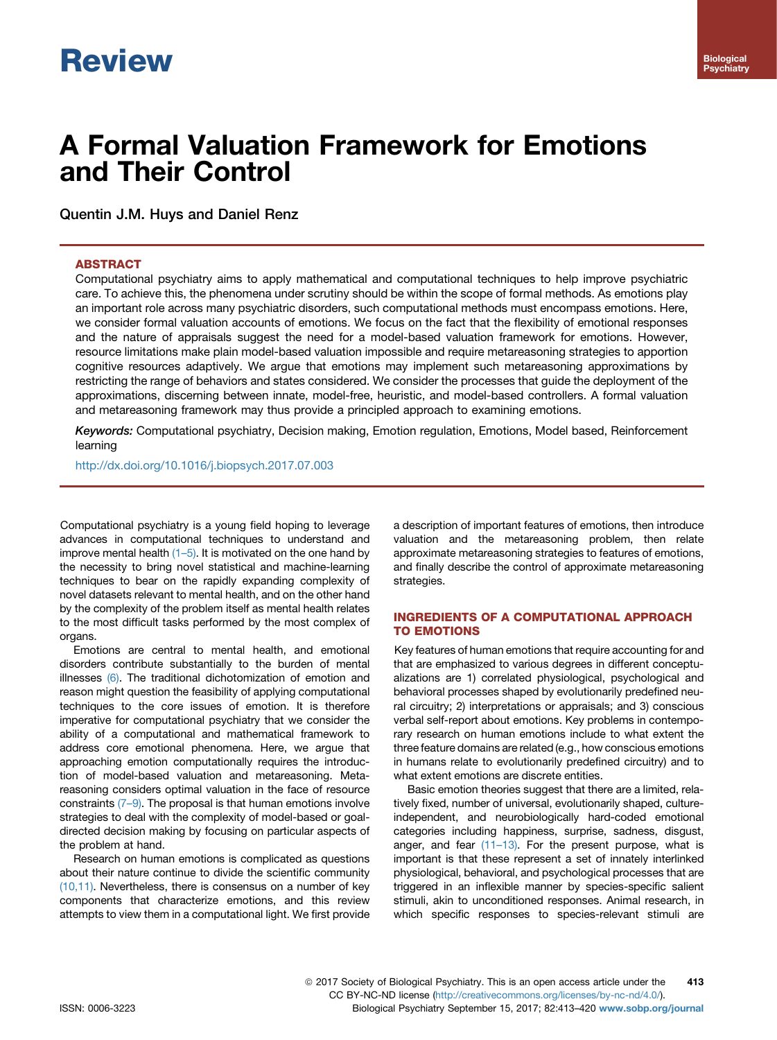# **Review**

# A Formal Valuation Framework for Emotions and Their Control

Quentin J.M. Huys and Daniel Renz

# ABSTRACT

Computational psychiatry aims to apply mathematical and computational techniques to help improve psychiatric care. To achieve this, the phenomena under scrutiny should be within the scope of formal methods. As emotions play an important role across many psychiatric disorders, such computational methods must encompass emotions. Here, we consider formal valuation accounts of emotions. We focus on the fact that the flexibility of emotional responses and the nature of appraisals suggest the need for a model-based valuation framework for emotions. However, resource limitations make plain model-based valuation impossible and require metareasoning strategies to apportion cognitive resources adaptively. We argue that emotions may implement such metareasoning approximations by restricting the range of behaviors and states considered. We consider the processes that guide the deployment of the approximations, discerning between innate, model-free, heuristic, and model-based controllers. A formal valuation and metareasoning framework may thus provide a principled approach to examining emotions.

Keywords: Computational psychiatry, Decision making, Emotion regulation, Emotions, Model based, Reinforcement learning

<http://dx.doi.org/10.1016/j.biopsych.2017.07.003>

Computational psychiatry is a young field hoping to leverage advances in computational techniques to understand and improve mental health  $(1-5)$ . It is motivated on the one hand by the necessity to bring novel statistical and machine-learning techniques to bear on the rapidly expanding complexity of novel datasets relevant to mental health, and on the other hand by the complexity of the problem itself as mental health relates to the most difficult tasks performed by the most complex of organs.

Emotions are central to mental health, and emotional disorders contribute substantially to the burden of mental illnesses [\(6\).](#page-5-0) The traditional dichotomization of emotion and reason might question the feasibility of applying computational techniques to the core issues of emotion. It is therefore imperative for computational psychiatry that we consider the ability of a computational and mathematical framework to address core emotional phenomena. Here, we argue that approaching emotion computationally requires the introduction of model-based valuation and metareasoning. Metareasoning considers optimal valuation in the face of resource constraints  $(7-9)$  $(7-9)$ . The proposal is that human emotions involve strategies to deal with the complexity of model-based or goaldirected decision making by focusing on particular aspects of the problem at hand.

Research on human emotions is complicated as questions about their nature continue to divide the scientific community [\(10,11\)](#page-5-0). Nevertheless, there is consensus on a number of key components that characterize emotions, and this review attempts to view them in a computational light. We first provide

a description of important features of emotions, then introduce valuation and the metareasoning problem, then relate approximate metareasoning strategies to features of emotions, and finally describe the control of approximate metareasoning strategies.

# INGREDIENTS OF A COMPUTATIONAL APPROACH TO EMOTIONS

Key features of human emotions that require accounting for and that are emphasized to various degrees in different conceptualizations are 1) correlated physiological, psychological and behavioral processes shaped by evolutionarily predefined neural circuitry; 2) interpretations or appraisals; and 3) conscious verbal self-report about emotions. Key problems in contemporary research on human emotions include to what extent the three feature domains are related (e.g., how conscious emotions in humans relate to evolutionarily predefined circuitry) and to what extent emotions are discrete entities.

Basic emotion theories suggest that there are a limited, relatively fixed, number of universal, evolutionarily shaped, cultureindependent, and neurobiologically hard-coded emotional categories including happiness, surprise, sadness, disgust, anger, and fear [\(11](#page-5-0)–13). For the present purpose, what is important is that these represent a set of innately interlinked physiological, behavioral, and psychological processes that are triggered in an inflexible manner by species-specific salient stimuli, akin to unconditioned responses. Animal research, in which specific responses to species-relevant stimuli are

ª 2017 Society of Biological Psychiatry. This is an open access article under the CC BY-NC-ND license (<http://creativecommons.org/licenses/by-nc-nd/4.0/>). 413 ISSN: 0006-3223 Biological Psychiatry September 15, 2017; 82:413–420 [www.sobp.org/journal](http://www.sobp.org/journal/www.sobp.org/journal)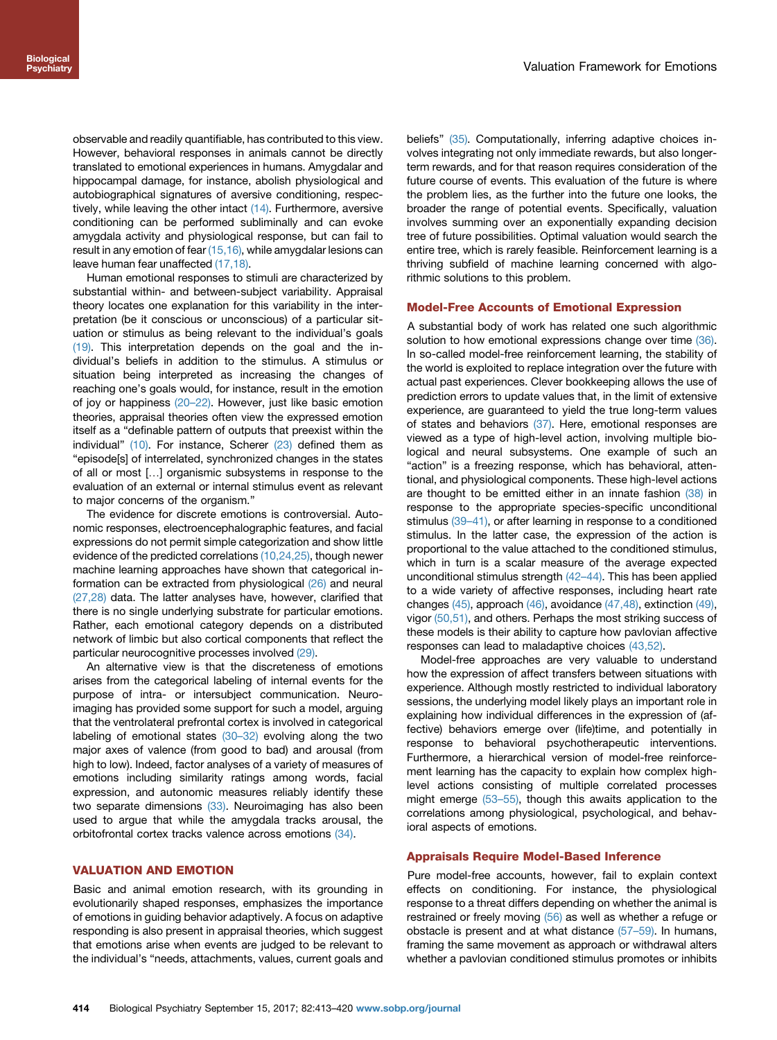observable and readily quantifiable, has contributed to this view. However, behavioral responses in animals cannot be directly translated to emotional experiences in humans. Amygdalar and hippocampal damage, for instance, abolish physiological and autobiographical signatures of aversive conditioning, respectively, while leaving the other intact  $(14)$ . Furthermore, aversive conditioning can be performed subliminally and can evoke amygdala activity and physiological response, but can fail to result in any emotion of fear  $(15,16)$ , while amygdalar lesions can leave human fear unaffected [\(17,18\).](#page-5-0)

Human emotional responses to stimuli are characterized by substantial within- and between-subject variability. Appraisal theory locates one explanation for this variability in the interpretation (be it conscious or unconscious) of a particular situation or stimulus as being relevant to the individual's goals [\(19\)](#page-5-0). This interpretation depends on the goal and the individual's beliefs in addition to the stimulus. A stimulus or situation being interpreted as increasing the changes of reaching one's goals would, for instance, result in the emotion of joy or happiness (20–[22\).](#page-5-0) However, just like basic emotion theories, appraisal theories often view the expressed emotion itself as a "definable pattern of outputs that preexist within the individual"  $(10)$ . For instance, Scherer  $(23)$  defined them as "episode[s] of interrelated, synchronized changes in the states of all or most [...] organismic subsystems in response to the evaluation of an external or internal stimulus event as relevant to major concerns of the organism."

The evidence for discrete emotions is controversial. Autonomic responses, electroencephalographic features, and facial expressions do not permit simple categorization and show little evidence of the predicted correlations [\(10,24,25\)](#page-5-0), though newer machine learning approaches have shown that categorical information can be extracted from physiological [\(26\)](#page-5-0) and neural [\(27,28\)](#page-5-0) data. The latter analyses have, however, clarified that there is no single underlying substrate for particular emotions. Rather, each emotional category depends on a distributed network of limbic but also cortical components that reflect the particular neurocognitive processes involved [\(29\)](#page-5-0).

An alternative view is that the discreteness of emotions arises from the categorical labeling of internal events for the purpose of intra- or intersubject communication. Neuroimaging has provided some support for such a model, arguing that the ventrolateral prefrontal cortex is involved in categorical labeling of emotional states [\(30](#page-5-0)–32) evolving along the two major axes of valence (from good to bad) and arousal (from high to low). Indeed, factor analyses of a variety of measures of emotions including similarity ratings among words, facial expression, and autonomic measures reliably identify these two separate dimensions  $(33)$ . Neuroimaging has also been used to argue that while the amygdala tracks arousal, the orbitofrontal cortex tracks valence across emotions [\(34\).](#page-6-0)

#### VALUATION AND EMOTION

Basic and animal emotion research, with its grounding in evolutionarily shaped responses, emphasizes the importance of emotions in guiding behavior adaptively. A focus on adaptive responding is also present in appraisal theories, which suggest that emotions arise when events are judged to be relevant to the individual's "needs, attachments, values, current goals and beliefs" [\(35\).](#page-6-0) Computationally, inferring adaptive choices involves integrating not only immediate rewards, but also longerterm rewards, and for that reason requires consideration of the future course of events. This evaluation of the future is where the problem lies, as the further into the future one looks, the broader the range of potential events. Specifically, valuation involves summing over an exponentially expanding decision tree of future possibilities. Optimal valuation would search the entire tree, which is rarely feasible. Reinforcement learning is a thriving subfield of machine learning concerned with algorithmic solutions to this problem.

#### Model-Free Accounts of Emotional Expression

A substantial body of work has related one such algorithmic solution to how emotional expressions change over time [\(36\).](#page-6-0) In so-called model-free reinforcement learning, the stability of the world is exploited to replace integration over the future with actual past experiences. Clever bookkeeping allows the use of prediction errors to update values that, in the limit of extensive experience, are guaranteed to yield the true long-term values of states and behaviors [\(37\)](#page-6-0). Here, emotional responses are viewed as a type of high-level action, involving multiple biological and neural subsystems. One example of such an "action" is a freezing response, which has behavioral, attentional, and physiological components. These high-level actions are thought to be emitted either in an innate fashion [\(38\)](#page-6-0) in response to the appropriate species-specific unconditional stimulus [\(39](#page-6-0)–41), or after learning in response to a conditioned stimulus. In the latter case, the expression of the action is proportional to the value attached to the conditioned stimulus, which in turn is a scalar measure of the average expected unconditional stimulus strength [\(42](#page-6-0)–44). This has been applied to a wide variety of affective responses, including heart rate changes [\(45\)](#page-6-0), approach [\(46\)](#page-6-0), avoidance [\(47,48\),](#page-6-0) extinction [\(49\),](#page-6-0) vigor [\(50,51\)](#page-6-0), and others. Perhaps the most striking success of these models is their ability to capture how pavlovian affective responses can lead to maladaptive choices [\(43,52\).](#page-6-0)

Model-free approaches are very valuable to understand how the expression of affect transfers between situations with experience. Although mostly restricted to individual laboratory sessions, the underlying model likely plays an important role in explaining how individual differences in the expression of (affective) behaviors emerge over (life)time, and potentially in response to behavioral psychotherapeutic interventions. Furthermore, a hierarchical version of model-free reinforcement learning has the capacity to explain how complex highlevel actions consisting of multiple correlated processes might emerge (53–[55\),](#page-6-0) though this awaits application to the correlations among physiological, psychological, and behavioral aspects of emotions.

## Appraisals Require Model-Based Inference

Pure model-free accounts, however, fail to explain context effects on conditioning. For instance, the physiological response to a threat differs depending on whether the animal is restrained or freely moving [\(56\)](#page-6-0) as well as whether a refuge or obstacle is present and at what distance (57–[59\).](#page-6-0) In humans, framing the same movement as approach or withdrawal alters whether a pavlovian conditioned stimulus promotes or inhibits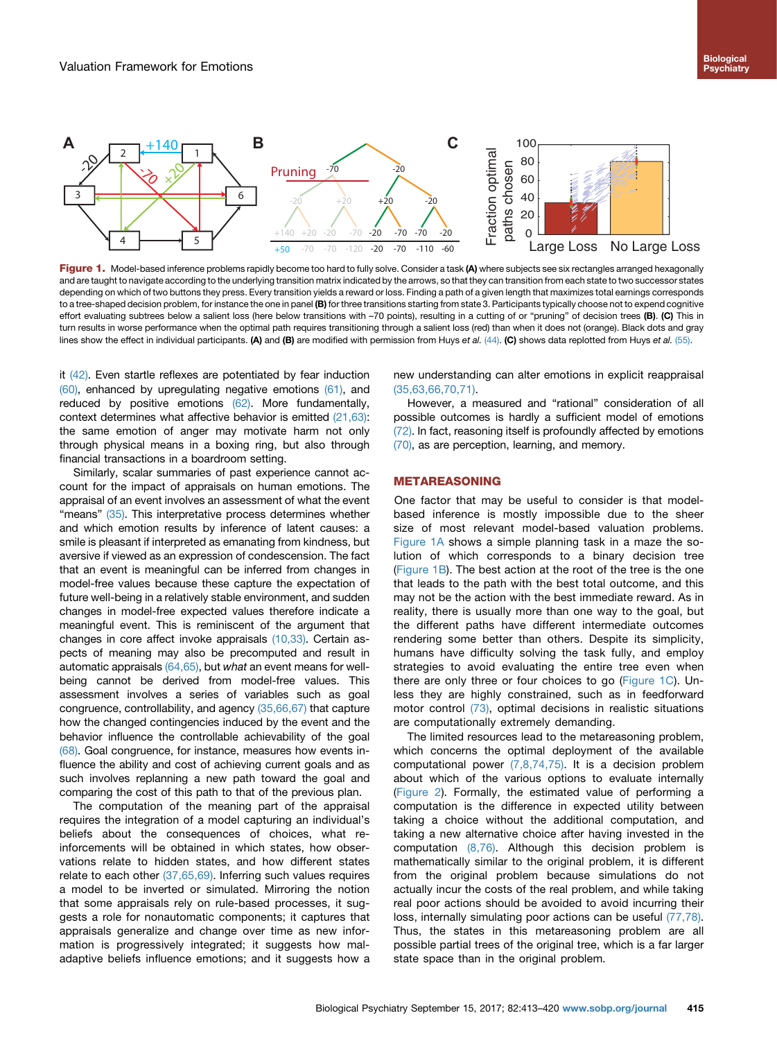

Figure 1. Model-based inference problems rapidly become too hard to fully solve. Consider a task (A) where subjects see six rectangles arranged hexagonally and are taught to navigate according to the underlying transition matrix indicated by the arrows, so that they can transition from each state to two successor states depending on which of two buttons they press. Every transition yields a reward or loss. Finding a path of a given length that maximizes total earnings corresponds to a tree-shaped decision problem, for instance the one in panel (B) for three transitions starting from state 3. Participants typically choose not to expend cognitive effort evaluating subtrees below a salient loss (here below transitions with -70 points), resulting in a cutting of or "pruning" of decision trees (B). (C) This in turn results in worse performance when the optimal path requires transitioning through a salient loss (red) than when it does not (orange). Black dots and gray lines show the effect in individual participants. (A) and (B) are modified with permission from Huys et al. [\(44\).](#page-6-0) (C) shows data replotted from Huys et al. [\(55\).](#page-6-0)

it [\(42\)](#page-6-0). Even startle reflexes are potentiated by fear induction  $(60)$ , enhanced by upregulating negative emotions  $(61)$ , and reduced by positive emotions [\(62\).](#page-6-0) More fundamentally, context determines what affective behavior is emitted [\(21,63\)](#page-5-0): the same emotion of anger may motivate harm not only through physical means in a boxing ring, but also through financial transactions in a boardroom setting.

Similarly, scalar summaries of past experience cannot account for the impact of appraisals on human emotions. The appraisal of an event involves an assessment of what the event "means" [\(35\).](#page-6-0) This interpretative process determines whether and which emotion results by inference of latent causes: a smile is pleasant if interpreted as emanating from kindness, but aversive if viewed as an expression of condescension. The fact that an event is meaningful can be inferred from changes in model-free values because these capture the expectation of future well-being in a relatively stable environment, and sudden changes in model-free expected values therefore indicate a meaningful event. This is reminiscent of the argument that changes in core affect invoke appraisals [\(10,33\)](#page-5-0). Certain aspects of meaning may also be precomputed and result in automatic appraisals  $(64,65)$ , but what an event means for wellbeing cannot be derived from model-free values. This assessment involves a series of variables such as goal congruence, controllability, and agency [\(35,66,67\)](#page-6-0) that capture how the changed contingencies induced by the event and the behavior influence the controllable achievability of the goal [\(68\)](#page-6-0). Goal congruence, for instance, measures how events influence the ability and cost of achieving current goals and as such involves replanning a new path toward the goal and comparing the cost of this path to that of the previous plan.

The computation of the meaning part of the appraisal requires the integration of a model capturing an individual's beliefs about the consequences of choices, what reinforcements will be obtained in which states, how observations relate to hidden states, and how different states relate to each other [\(37,65,69\)](#page-6-0). Inferring such values requires a model to be inverted or simulated. Mirroring the notion that some appraisals rely on rule-based processes, it suggests a role for nonautomatic components; it captures that appraisals generalize and change over time as new information is progressively integrated; it suggests how maladaptive beliefs influence emotions; and it suggests how a new understanding can alter emotions in explicit reappraisal [\(35,63,66,70,71\).](#page-6-0)

However, a measured and "rational" consideration of all possible outcomes is hardly a sufficient model of emotions [\(72\).](#page-6-0) In fact, reasoning itself is profoundly affected by emotions [\(70\),](#page-6-0) as are perception, learning, and memory.

#### METAREASONING

One factor that may be useful to consider is that modelbased inference is mostly impossible due to the sheer size of most relevant model-based valuation problems. Figure 1A shows a simple planning task in a maze the solution of which corresponds to a binary decision tree (Figure 1B). The best action at the root of the tree is the one that leads to the path with the best total outcome, and this may not be the action with the best immediate reward. As in reality, there is usually more than one way to the goal, but the different paths have different intermediate outcomes rendering some better than others. Despite its simplicity, humans have difficulty solving the task fully, and employ strategies to avoid evaluating the entire tree even when there are only three or four choices to go (Figure 1C). Unless they are highly constrained, such as in feedforward motor control [\(73\)](#page-6-0), optimal decisions in realistic situations are computationally extremely demanding.

The limited resources lead to the metareasoning problem, which concerns the optimal deployment of the available computational power [\(7,8,74,75\).](#page-5-0) It is a decision problem about which of the various options to evaluate internally ([Figure 2](#page-3-0)). Formally, the estimated value of performing a computation is the difference in expected utility between taking a choice without the additional computation, and taking a new alternative choice after having invested in the computation [\(8,76\).](#page-5-0) Although this decision problem is mathematically similar to the original problem, it is different from the original problem because simulations do not actually incur the costs of the real problem, and while taking real poor actions should be avoided to avoid incurring their loss, internally simulating poor actions can be useful [\(77,78\).](#page-6-0) Thus, the states in this metareasoning problem are all possible partial trees of the original tree, which is a far larger state space than in the original problem.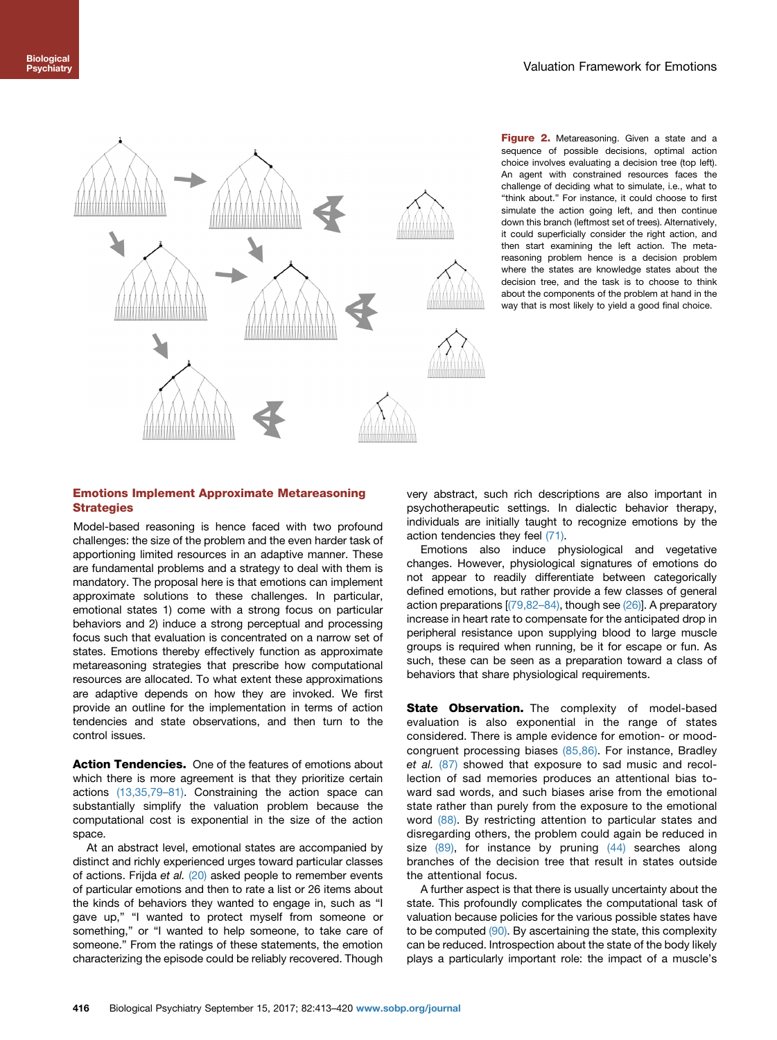<span id="page-3-0"></span>

Figure 2. Metareasoning. Given a state and a sequence of possible decisions, optimal action choice involves evaluating a decision tree (top left). An agent with constrained resources faces the challenge of deciding what to simulate, i.e., what to "think about." For instance, it could choose to first simulate the action going left, and then continue down this branch (leftmost set of trees). Alternatively, it could superficially consider the right action, and then start examining the left action. The metareasoning problem hence is a decision problem where the states are knowledge states about the decision tree, and the task is to choose to think about the components of the problem at hand in the way that is most likely to yield a good final choice.

# Emotions Implement Approximate Metareasoning **Strategies**

Model-based reasoning is hence faced with two profound challenges: the size of the problem and the even harder task of apportioning limited resources in an adaptive manner. These are fundamental problems and a strategy to deal with them is mandatory. The proposal here is that emotions can implement approximate solutions to these challenges. In particular, emotional states 1) come with a strong focus on particular behaviors and 2) induce a strong perceptual and processing focus such that evaluation is concentrated on a narrow set of states. Emotions thereby effectively function as approximate metareasoning strategies that prescribe how computational resources are allocated. To what extent these approximations are adaptive depends on how they are invoked. We first provide an outline for the implementation in terms of action tendencies and state observations, and then turn to the control issues.

Action Tendencies. One of the features of emotions about which there is more agreement is that they prioritize certain actions [\(13,35,79](#page-5-0)–81). Constraining the action space can substantially simplify the valuation problem because the computational cost is exponential in the size of the action space.

At an abstract level, emotional states are accompanied by distinct and richly experienced urges toward particular classes of actions. Frijda et al. [\(20\)](#page-5-0) asked people to remember events of particular emotions and then to rate a list or 26 items about the kinds of behaviors they wanted to engage in, such as "I gave up," "I wanted to protect myself from someone or something," or "I wanted to help someone, to take care of someone." From the ratings of these statements, the emotion characterizing the episode could be reliably recovered. Though very abstract, such rich descriptions are also important in psychotherapeutic settings. In dialectic behavior therapy, individuals are initially taught to recognize emotions by the action tendencies they feel [\(71\).](#page-6-0)

Emotions also induce physiological and vegetative changes. However, physiological signatures of emotions do not appear to readily differentiate between categorically defined emotions, but rather provide a few classes of general action preparations [[\(79,82](#page-6-0)–84), though see [\(26\)\]](#page-5-0). A preparatory increase in heart rate to compensate for the anticipated drop in peripheral resistance upon supplying blood to large muscle groups is required when running, be it for escape or fun. As such, these can be seen as a preparation toward a class of behaviors that share physiological requirements.

State Observation. The complexity of model-based evaluation is also exponential in the range of states considered. There is ample evidence for emotion- or moodcongruent processing biases [\(85,86\).](#page-6-0) For instance, Bradley et al. [\(87\)](#page-7-0) showed that exposure to sad music and recollection of sad memories produces an attentional bias toward sad words, and such biases arise from the emotional state rather than purely from the exposure to the emotional word [\(88\).](#page-7-0) By restricting attention to particular states and disregarding others, the problem could again be reduced in size  $(89)$ , for instance by pruning  $(44)$  searches along branches of the decision tree that result in states outside the attentional focus.

A further aspect is that there is usually uncertainty about the state. This profoundly complicates the computational task of valuation because policies for the various possible states have to be computed [\(90\).](#page-7-0) By ascertaining the state, this complexity can be reduced. Introspection about the state of the body likely plays a particularly important role: the impact of a muscle's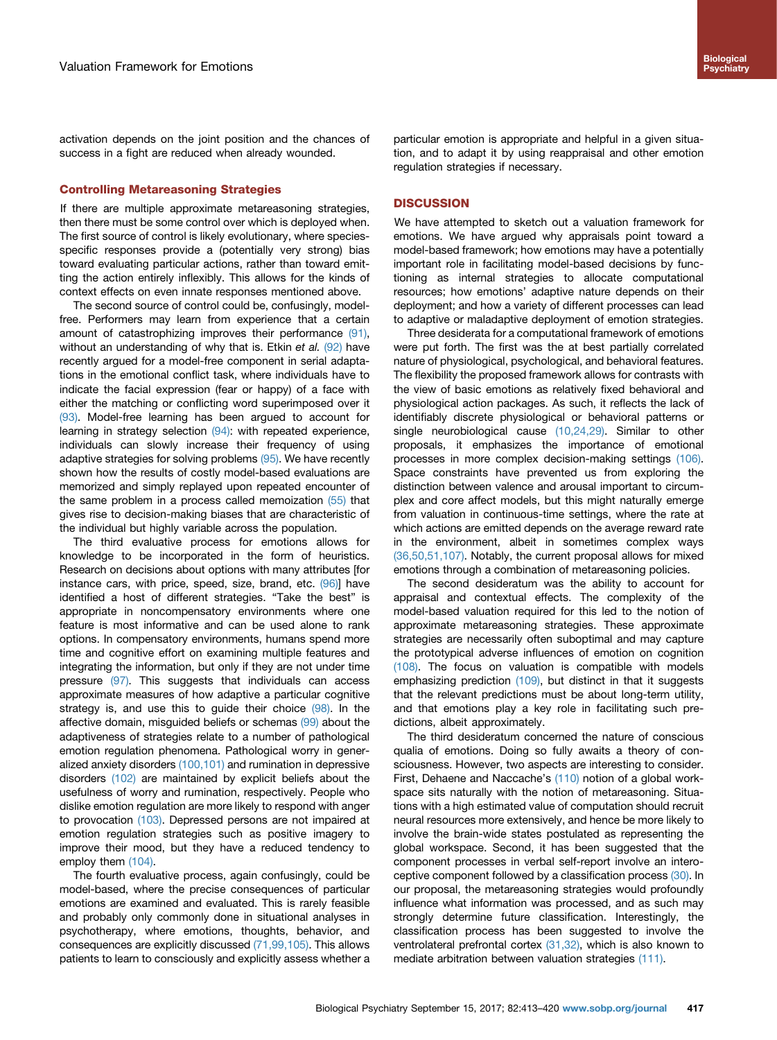activation depends on the joint position and the chances of success in a fight are reduced when already wounded.

#### Controlling Metareasoning Strategies

If there are multiple approximate metareasoning strategies, then there must be some control over which is deployed when. The first source of control is likely evolutionary, where speciesspecific responses provide a (potentially very strong) bias toward evaluating particular actions, rather than toward emitting the action entirely inflexibly. This allows for the kinds of context effects on even innate responses mentioned above.

The second source of control could be, confusingly, modelfree. Performers may learn from experience that a certain amount of catastrophizing improves their performance [\(91\)](#page-7-0), without an understanding of why that is. Etkin et al. [\(92\)](#page-7-0) have recently argued for a model-free component in serial adaptations in the emotional conflict task, where individuals have to indicate the facial expression (fear or happy) of a face with either the matching or conflicting word superimposed over it [\(93\)](#page-7-0). Model-free learning has been argued to account for learning in strategy selection [\(94\)](#page-7-0): with repeated experience, individuals can slowly increase their frequency of using adaptive strategies for solving problems [\(95\).](#page-7-0) We have recently shown how the results of costly model-based evaluations are memorized and simply replayed upon repeated encounter of the same problem in a process called memoization [\(55\)](#page-6-0) that gives rise to decision-making biases that are characteristic of the individual but highly variable across the population.

The third evaluative process for emotions allows for knowledge to be incorporated in the form of heuristics. Research on decisions about options with many attributes [for instance cars, with price, speed, size, brand, etc. [\(96\)\]](#page-7-0) have identified a host of different strategies. "Take the best" is appropriate in noncompensatory environments where one feature is most informative and can be used alone to rank options. In compensatory environments, humans spend more time and cognitive effort on examining multiple features and integrating the information, but only if they are not under time pressure [\(97\).](#page-7-0) This suggests that individuals can access approximate measures of how adaptive a particular cognitive strategy is, and use this to guide their choice [\(98\)](#page-7-0). In the affective domain, misguided beliefs or schemas [\(99\)](#page-7-0) about the adaptiveness of strategies relate to a number of pathological emotion regulation phenomena. Pathological worry in generalized anxiety disorders [\(100,101\)](#page-7-0) and rumination in depressive disorders [\(102\)](#page-7-0) are maintained by explicit beliefs about the usefulness of worry and rumination, respectively. People who dislike emotion regulation are more likely to respond with anger to provocation [\(103\).](#page-7-0) Depressed persons are not impaired at emotion regulation strategies such as positive imagery to improve their mood, but they have a reduced tendency to employ them [\(104\)](#page-7-0).

The fourth evaluative process, again confusingly, could be model-based, where the precise consequences of particular emotions are examined and evaluated. This is rarely feasible and probably only commonly done in situational analyses in psychotherapy, where emotions, thoughts, behavior, and consequences are explicitly discussed [\(71,99,105\)](#page-6-0). This allows patients to learn to consciously and explicitly assess whether a

particular emotion is appropriate and helpful in a given situation, and to adapt it by using reappraisal and other emotion regulation strategies if necessary.

#### **DISCUSSION**

We have attempted to sketch out a valuation framework for emotions. We have argued why appraisals point toward a model-based framework; how emotions may have a potentially important role in facilitating model-based decisions by functioning as internal strategies to allocate computational resources; how emotions' adaptive nature depends on their deployment; and how a variety of different processes can lead to adaptive or maladaptive deployment of emotion strategies.

Three desiderata for a computational framework of emotions were put forth. The first was the at best partially correlated nature of physiological, psychological, and behavioral features. The flexibility the proposed framework allows for contrasts with the view of basic emotions as relatively fixed behavioral and physiological action packages. As such, it reflects the lack of identifiably discrete physiological or behavioral patterns or single neurobiological cause [\(10,24,29\)](#page-5-0). Similar to other proposals, it emphasizes the importance of emotional processes in more complex decision-making settings [\(106\).](#page-7-0) Space constraints have prevented us from exploring the distinction between valence and arousal important to circumplex and core affect models, but this might naturally emerge from valuation in continuous-time settings, where the rate at which actions are emitted depends on the average reward rate in the environment, albeit in sometimes complex ways [\(36,50,51,107\).](#page-6-0) Notably, the current proposal allows for mixed emotions through a combination of metareasoning policies.

The second desideratum was the ability to account for appraisal and contextual effects. The complexity of the model-based valuation required for this led to the notion of approximate metareasoning strategies. These approximate strategies are necessarily often suboptimal and may capture the prototypical adverse influences of emotion on cognition [\(108\).](#page-7-0) The focus on valuation is compatible with models emphasizing prediction [\(109\),](#page-7-0) but distinct in that it suggests that the relevant predictions must be about long-term utility, and that emotions play a key role in facilitating such predictions, albeit approximately.

The third desideratum concerned the nature of conscious qualia of emotions. Doing so fully awaits a theory of consciousness. However, two aspects are interesting to consider. First, Dehaene and Naccache's [\(110\)](#page-7-0) notion of a global workspace sits naturally with the notion of metareasoning. Situations with a high estimated value of computation should recruit neural resources more extensively, and hence be more likely to involve the brain-wide states postulated as representing the global workspace. Second, it has been suggested that the component processes in verbal self-report involve an interoceptive component followed by a classification process [\(30\).](#page-5-0) In our proposal, the metareasoning strategies would profoundly influence what information was processed, and as such may strongly determine future classification. Interestingly, the classification process has been suggested to involve the ventrolateral prefrontal cortex [\(31,32\)](#page-5-0), which is also known to mediate arbitration between valuation strategies [\(111\)](#page-7-0).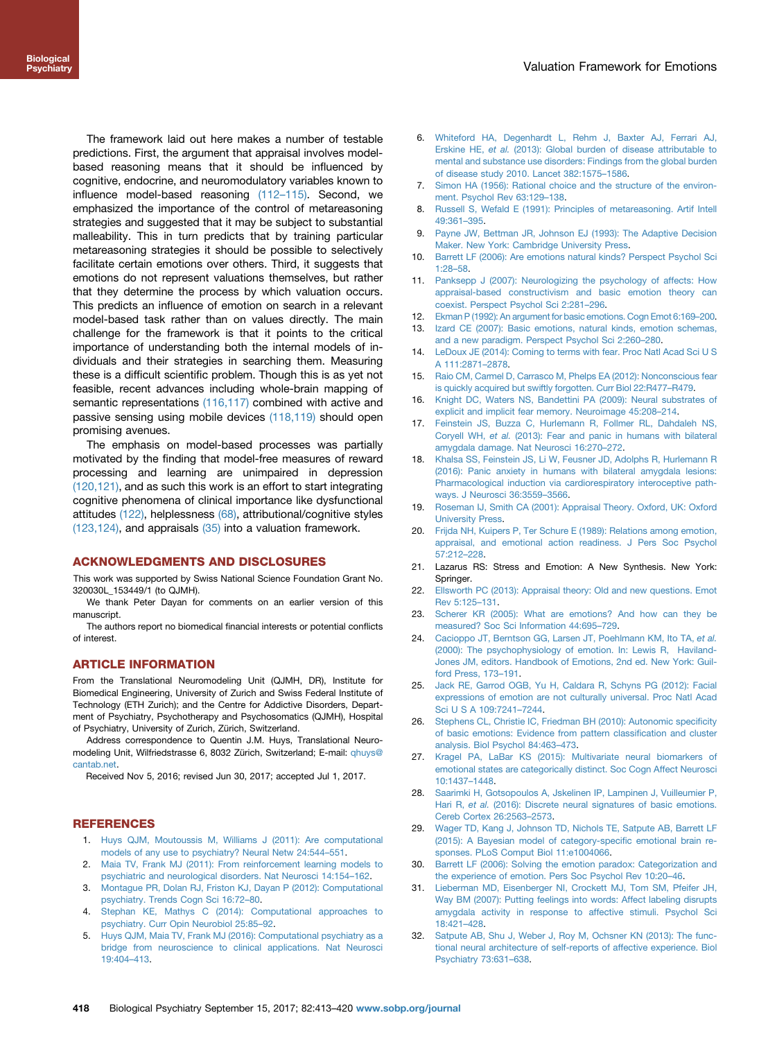<span id="page-5-0"></span>The framework laid out here makes a number of testable predictions. First, the argument that appraisal involves modelbased reasoning means that it should be influenced by cognitive, endocrine, and neuromodulatory variables known to influence model-based reasoning (112–[115\)](#page-7-0). Second, we emphasized the importance of the control of metareasoning strategies and suggested that it may be subject to substantial malleability. This in turn predicts that by training particular metareasoning strategies it should be possible to selectively facilitate certain emotions over others. Third, it suggests that emotions do not represent valuations themselves, but rather that they determine the process by which valuation occurs. This predicts an influence of emotion on search in a relevant model-based task rather than on values directly. The main challenge for the framework is that it points to the critical importance of understanding both the internal models of individuals and their strategies in searching them. Measuring these is a difficult scientific problem. Though this is as yet not feasible, recent advances including whole-brain mapping of semantic representations [\(116,117\)](#page-7-0) combined with active and passive sensing using mobile devices [\(118,119\)](#page-7-0) should open promising avenues.

The emphasis on model-based processes was partially motivated by the finding that model-free measures of reward processing and learning are unimpaired in depression [\(120,121\)](#page-7-0), and as such this work is an effort to start integrating cognitive phenomena of clinical importance like dysfunctional attitudes [\(122\)](#page-7-0), helplessness [\(68\)](#page-6-0), attributional/cognitive styles [\(123,124\)](#page-7-0), and appraisals [\(35\)](#page-6-0) into a valuation framework.

### ACKNOWLEDGMENTS AND DISCLOSURES

This work was supported by Swiss National Science Foundation Grant No. 320030L\_153449/1 (to QJMH).

We thank Peter Dayan for comments on an earlier version of this manuscript.

The authors report no biomedical financial interests or potential conflicts of interest.

#### ARTICLE INFORMATION

From the Translational Neuromodeling Unit (QJMH, DR), Institute for Biomedical Engineering, University of Zurich and Swiss Federal Institute of Technology (ETH Zurich); and the Centre for Addictive Disorders, Department of Psychiatry, Psychotherapy and Psychosomatics (QJMH), Hospital of Psychiatry, University of Zurich, Zürich, Switzerland.

Address correspondence to Quentin J.M. Huys, Translational Neuromodeling Unit, Wilfriedstrasse 6, 8032 Zürich, Switzerland; E-mail: [qhuys@](mailto:qhuys@cantab.net) [cantab.net.](mailto:qhuys@cantab.net)

Received Nov 5, 2016; revised Jun 30, 2017; accepted Jul 1, 2017.

# **REFERENCES**

- 1. [Huys QJM, Moutoussis M, Williams J \(2011\): Are computational](http://refhub.elsevier.com/S0006-3223(17)31773-0/sref1) [models of any use to psychiatry? Neural Netw 24:544](http://refhub.elsevier.com/S0006-3223(17)31773-0/sref1)–551.
- 2. [Maia TV, Frank MJ \(2011\): From reinforcement learning models to](http://refhub.elsevier.com/S0006-3223(17)31773-0/sref2) [psychiatric and neurological disorders. Nat Neurosci 14:154](http://refhub.elsevier.com/S0006-3223(17)31773-0/sref2)–162.
- 3. [Montague PR, Dolan RJ, Friston KJ, Dayan P \(2012\): Computational](http://refhub.elsevier.com/S0006-3223(17)31773-0/sref3) [psychiatry. Trends Cogn Sci 16:72](http://refhub.elsevier.com/S0006-3223(17)31773-0/sref3)–80.
- 4. [Stephan KE, Mathys C \(2014\): Computational approaches to](http://refhub.elsevier.com/S0006-3223(17)31773-0/sref4) [psychiatry. Curr Opin Neurobiol 25:85](http://refhub.elsevier.com/S0006-3223(17)31773-0/sref4)–92.
- 5. [Huys QJM, Maia TV, Frank MJ \(2016\): Computational psychiatry as a](http://refhub.elsevier.com/S0006-3223(17)31773-0/sref5) [bridge from neuroscience to clinical applications. Nat Neurosci](http://refhub.elsevier.com/S0006-3223(17)31773-0/sref5) [19:404](http://refhub.elsevier.com/S0006-3223(17)31773-0/sref5)–413.
- 6. [Whiteford HA, Degenhardt L, Rehm J, Baxter AJ, Ferrari AJ,](http://refhub.elsevier.com/S0006-3223(17)31773-0/sref6) Erskine HE, et al. [\(2013\): Global burden of disease attributable to](http://refhub.elsevier.com/S0006-3223(17)31773-0/sref6) [mental and substance use disorders: Findings from the global burden](http://refhub.elsevier.com/S0006-3223(17)31773-0/sref6) [of disease study 2010. Lancet 382:1575](http://refhub.elsevier.com/S0006-3223(17)31773-0/sref6)–1586.
- 7. [Simon HA \(1956\): Rational choice and the structure of the environ](http://refhub.elsevier.com/S0006-3223(17)31773-0/sref7)[ment. Psychol Rev 63:129](http://refhub.elsevier.com/S0006-3223(17)31773-0/sref7)–138.
- 8. [Russell S, Wefald E \(1991\): Principles of metareasoning. Artif Intell](http://refhub.elsevier.com/S0006-3223(17)31773-0/sref8) [49:361](http://refhub.elsevier.com/S0006-3223(17)31773-0/sref8)–395.
- 9. [Payne JW, Bettman JR, Johnson EJ \(1993\): The Adaptive Decision](http://refhub.elsevier.com/S0006-3223(17)31773-0/sref9) [Maker. New York: Cambridge University Press.](http://refhub.elsevier.com/S0006-3223(17)31773-0/sref9)
- 10. [Barrett LF \(2006\): Are emotions natural kinds? Perspect Psychol Sci](http://refhub.elsevier.com/S0006-3223(17)31773-0/sref10) [1:28](http://refhub.elsevier.com/S0006-3223(17)31773-0/sref10)–58.
- 11. [Panksepp J \(2007\): Neurologizing the psychology of affects: How](http://refhub.elsevier.com/S0006-3223(17)31773-0/sref11) [appraisal-based constructivism and basic emotion theory can](http://refhub.elsevier.com/S0006-3223(17)31773-0/sref11) [coexist. Perspect Psychol Sci 2:281](http://refhub.elsevier.com/S0006-3223(17)31773-0/sref11)–296.
- 12. [Ekman P \(1992\): An argument for basic emotions. Cogn Emot 6:169](http://refhub.elsevier.com/S0006-3223(17)31773-0/sref12)–200.
- 13. [Izard CE \(2007\): Basic emotions, natural kinds, emotion schemas,](http://refhub.elsevier.com/S0006-3223(17)31773-0/sref13) [and a new paradigm. Perspect Psychol Sci 2:260](http://refhub.elsevier.com/S0006-3223(17)31773-0/sref13)–280.
- 14. [LeDoux JE \(2014\): Coming to terms with fear. Proc Natl Acad Sci U S](http://refhub.elsevier.com/S0006-3223(17)31773-0/sref14) [A 111:2871](http://refhub.elsevier.com/S0006-3223(17)31773-0/sref14)–2878.
- 15. [Raio CM, Carmel D, Carrasco M, Phelps EA \(2012\): Nonconscious fear](http://refhub.elsevier.com/S0006-3223(17)31773-0/sref15) [is quickly acquired but swiftly forgotten. Curr Biol 22:R477](http://refhub.elsevier.com/S0006-3223(17)31773-0/sref15)–R479.
- 16. [Knight DC, Waters NS, Bandettini PA \(2009\): Neural substrates of](http://refhub.elsevier.com/S0006-3223(17)31773-0/sref16) [explicit and implicit fear memory. Neuroimage 45:208](http://refhub.elsevier.com/S0006-3223(17)31773-0/sref16)–214.
- 17. [Feinstein JS, Buzza C, Hurlemann R, Follmer RL, Dahdaleh NS,](http://refhub.elsevier.com/S0006-3223(17)31773-0/sref17) Coryell WH, et al. [\(2013\): Fear and panic in humans with bilateral](http://refhub.elsevier.com/S0006-3223(17)31773-0/sref17) [amygdala damage. Nat Neurosci 16:270](http://refhub.elsevier.com/S0006-3223(17)31773-0/sref17)–272.
- 18. [Khalsa SS, Feinstein JS, Li W, Feusner JD, Adolphs R, Hurlemann R](http://refhub.elsevier.com/S0006-3223(17)31773-0/sref18) [\(2016\): Panic anxiety in humans with bilateral amygdala lesions:](http://refhub.elsevier.com/S0006-3223(17)31773-0/sref18) [Pharmacological induction via cardiorespiratory interoceptive path](http://refhub.elsevier.com/S0006-3223(17)31773-0/sref18)[ways. J Neurosci 36:3559](http://refhub.elsevier.com/S0006-3223(17)31773-0/sref18)–3566.
- 19. [Roseman IJ, Smith CA \(2001\): Appraisal Theory. Oxford, UK: Oxford](http://refhub.elsevier.com/S0006-3223(17)31773-0/sref19) [University Press](http://refhub.elsevier.com/S0006-3223(17)31773-0/sref19).
- 20. [Frijda NH, Kuipers P, Ter Schure E \(1989\): Relations among emotion,](http://refhub.elsevier.com/S0006-3223(17)31773-0/sref20) [appraisal, and emotional action readiness. J Pers Soc Psychol](http://refhub.elsevier.com/S0006-3223(17)31773-0/sref20) [57:212](http://refhub.elsevier.com/S0006-3223(17)31773-0/sref20)–228.
- 21. Lazarus RS: Stress and Emotion: A New Synthesis. New York: Springer.
- 22. [Ellsworth PC \(2013\): Appraisal theory: Old and new questions. Emot](http://refhub.elsevier.com/S0006-3223(17)31773-0/sref22) [Rev 5:125](http://refhub.elsevier.com/S0006-3223(17)31773-0/sref22)–131.
- 23. [Scherer KR \(2005\): What are emotions? And how can they be](http://refhub.elsevier.com/S0006-3223(17)31773-0/sref23) [measured? Soc Sci Information 44:695](http://refhub.elsevier.com/S0006-3223(17)31773-0/sref23)–729.
- 24. [Cacioppo JT, Berntson GG, Larsen JT, Poehlmann KM, Ito TA,](http://refhub.elsevier.com/S0006-3223(17)31773-0/sref24) et al. [\(2000\): The psychophysiology of emotion. In: Lewis R, Haviland-](http://refhub.elsevier.com/S0006-3223(17)31773-0/sref24)[Jones JM, editors. Handbook of Emotions, 2nd ed. New York: Guil](http://refhub.elsevier.com/S0006-3223(17)31773-0/sref24)[ford Press, 173](http://refhub.elsevier.com/S0006-3223(17)31773-0/sref24)–191.
- 25. [Jack RE, Garrod OGB, Yu H, Caldara R, Schyns PG \(2012\): Facial](http://refhub.elsevier.com/S0006-3223(17)31773-0/sref25) [expressions of emotion are not culturally universal. Proc Natl Acad](http://refhub.elsevier.com/S0006-3223(17)31773-0/sref25) [Sci U S A 109:7241](http://refhub.elsevier.com/S0006-3223(17)31773-0/sref25)–7244.
- 26. [Stephens CL, Christie IC, Friedman BH \(2010\): Autonomic speci](http://refhub.elsevier.com/S0006-3223(17)31773-0/sref26)ficity [of basic emotions: Evidence from pattern classi](http://refhub.elsevier.com/S0006-3223(17)31773-0/sref26)fication and cluster [analysis. Biol Psychol 84:463](http://refhub.elsevier.com/S0006-3223(17)31773-0/sref26)–473.
- 27. [Kragel PA, LaBar KS \(2015\): Multivariate neural biomarkers of](http://refhub.elsevier.com/S0006-3223(17)31773-0/sref27) [emotional states are categorically distinct. Soc Cogn Affect Neurosci](http://refhub.elsevier.com/S0006-3223(17)31773-0/sref27) [10:1437](http://refhub.elsevier.com/S0006-3223(17)31773-0/sref27)–1448.
- 28. [Saarimki H, Gotsopoulos A, Jskelinen IP, Lampinen J, Vuilleumier P,](http://refhub.elsevier.com/S0006-3223(17)31773-0/sref28) Hari R, et al. [\(2016\): Discrete neural signatures of basic emotions.](http://refhub.elsevier.com/S0006-3223(17)31773-0/sref28) [Cereb Cortex 26:2563](http://refhub.elsevier.com/S0006-3223(17)31773-0/sref28)–2573.
- 29. [Wager TD, Kang J, Johnson TD, Nichols TE, Satpute AB, Barrett LF](http://refhub.elsevier.com/S0006-3223(17)31773-0/sref29) [\(2015\): A Bayesian model of category-speci](http://refhub.elsevier.com/S0006-3223(17)31773-0/sref29)fic emotional brain re[sponses. PLoS Comput Biol 11:e1004066.](http://refhub.elsevier.com/S0006-3223(17)31773-0/sref29)
- 30. [Barrett LF \(2006\): Solving the emotion paradox: Categorization and](http://refhub.elsevier.com/S0006-3223(17)31773-0/sref30) [the experience of emotion. Pers Soc Psychol Rev 10:20](http://refhub.elsevier.com/S0006-3223(17)31773-0/sref30)–46.
- 31. [Lieberman MD, Eisenberger NI, Crockett MJ, Tom SM, Pfeifer JH,](http://refhub.elsevier.com/S0006-3223(17)31773-0/sref31) [Way BM \(2007\): Putting feelings into words: Affect labeling disrupts](http://refhub.elsevier.com/S0006-3223(17)31773-0/sref31) [amygdala activity in response to affective stimuli. Psychol Sci](http://refhub.elsevier.com/S0006-3223(17)31773-0/sref31) [18:421](http://refhub.elsevier.com/S0006-3223(17)31773-0/sref31)–428.
- 32. [Satpute AB, Shu J, Weber J, Roy M, Ochsner KN \(2013\): The func](http://refhub.elsevier.com/S0006-3223(17)31773-0/sref32)[tional neural architecture of self-reports of affective experience. Biol](http://refhub.elsevier.com/S0006-3223(17)31773-0/sref32) [Psychiatry 73:631](http://refhub.elsevier.com/S0006-3223(17)31773-0/sref32)–638.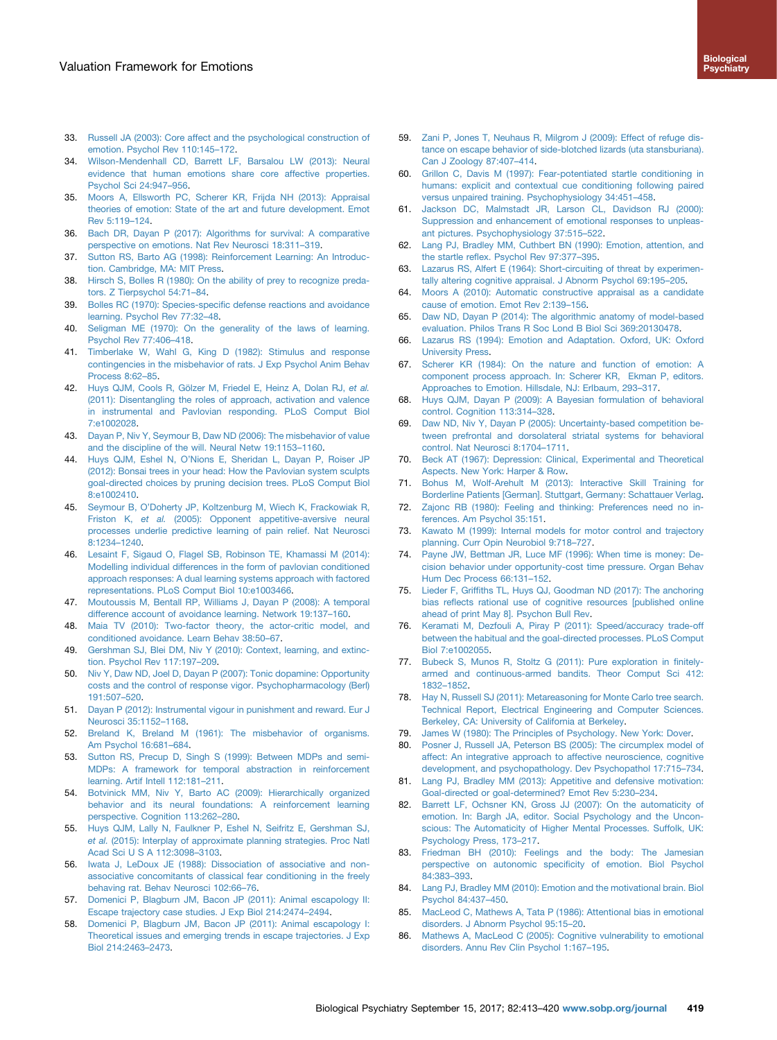- <span id="page-6-0"></span>33. [Russell JA \(2003\): Core affect and the psychological construction of](http://refhub.elsevier.com/S0006-3223(17)31773-0/sref33) [emotion. Psychol Rev 110:145](http://refhub.elsevier.com/S0006-3223(17)31773-0/sref33)–172.
- 34. [Wilson-Mendenhall CD, Barrett LF, Barsalou LW \(2013\): Neural](http://refhub.elsevier.com/S0006-3223(17)31773-0/sref34) [evidence that human emotions share core affective properties.](http://refhub.elsevier.com/S0006-3223(17)31773-0/sref34) [Psychol Sci 24:947](http://refhub.elsevier.com/S0006-3223(17)31773-0/sref34)–956.
- 35. [Moors A, Ellsworth PC, Scherer KR, Frijda NH \(2013\): Appraisal](http://refhub.elsevier.com/S0006-3223(17)31773-0/sref35) [theories of emotion: State of the art and future development. Emot](http://refhub.elsevier.com/S0006-3223(17)31773-0/sref35) [Rev 5:119](http://refhub.elsevier.com/S0006-3223(17)31773-0/sref35)–124.
- 36. [Bach DR, Dayan P \(2017\): Algorithms for survival: A comparative](http://refhub.elsevier.com/S0006-3223(17)31773-0/sref36) [perspective on emotions. Nat Rev Neurosci 18:311](http://refhub.elsevier.com/S0006-3223(17)31773-0/sref36)–319.
- 37. [Sutton RS, Barto AG \(1998\): Reinforcement Learning: An Introduc](http://refhub.elsevier.com/S0006-3223(17)31773-0/sref37)[tion. Cambridge, MA: MIT Press.](http://refhub.elsevier.com/S0006-3223(17)31773-0/sref37)
- 38. [Hirsch S, Bolles R \(1980\): On the ability of prey to recognize preda](http://refhub.elsevier.com/S0006-3223(17)31773-0/sref38)[tors. Z Tierpsychol 54:71](http://refhub.elsevier.com/S0006-3223(17)31773-0/sref38)–84.
- 39. Bolles RC (1970): Species-specifi[c defense reactions and avoidance](http://refhub.elsevier.com/S0006-3223(17)31773-0/sref39) [learning. Psychol Rev 77:32](http://refhub.elsevier.com/S0006-3223(17)31773-0/sref39)–48.
- 40. [Seligman ME \(1970\): On the generality of the laws of learning.](http://refhub.elsevier.com/S0006-3223(17)31773-0/sref40) [Psychol Rev 77:406](http://refhub.elsevier.com/S0006-3223(17)31773-0/sref40)–418.
- 41. [Timberlake W, Wahl G, King D \(1982\): Stimulus and response](http://refhub.elsevier.com/S0006-3223(17)31773-0/sref41) [contingencies in the misbehavior of rats. J Exp Psychol Anim Behav](http://refhub.elsevier.com/S0006-3223(17)31773-0/sref41) [Process 8:62](http://refhub.elsevier.com/S0006-3223(17)31773-0/sref41)–85.
- 42. [Huys QJM, Cools R, Gölzer M, Friedel E, Heinz A, Dolan RJ,](http://refhub.elsevier.com/S0006-3223(17)31773-0/sref42) et al. [\(2011\): Disentangling the roles of approach, activation and valence](http://refhub.elsevier.com/S0006-3223(17)31773-0/sref42) [in instrumental and Pavlovian responding. PLoS Comput Biol](http://refhub.elsevier.com/S0006-3223(17)31773-0/sref42) [7:e1002028.](http://refhub.elsevier.com/S0006-3223(17)31773-0/sref42)
- 43. [Dayan P, Niv Y, Seymour B, Daw ND \(2006\): The misbehavior of value](http://refhub.elsevier.com/S0006-3223(17)31773-0/sref43) [and the discipline of the will. Neural Netw 19:1153](http://refhub.elsevier.com/S0006-3223(17)31773-0/sref43)–1160.
- 44. Huys QJM, Eshel N, O'[Nions E, Sheridan L, Dayan P, Roiser JP](http://refhub.elsevier.com/S0006-3223(17)31773-0/sref44) [\(2012\): Bonsai trees in your head: How the Pavlovian system sculpts](http://refhub.elsevier.com/S0006-3223(17)31773-0/sref44) [goal-directed choices by pruning decision trees. PLoS Comput Biol](http://refhub.elsevier.com/S0006-3223(17)31773-0/sref44) [8:e1002410.](http://refhub.elsevier.com/S0006-3223(17)31773-0/sref44)
- 45. Seymour B, O'[Doherty JP, Koltzenburg M, Wiech K, Frackowiak R,](http://refhub.elsevier.com/S0006-3223(17)31773-0/sref45) Friston K, et al. [\(2005\): Opponent appetitive-aversive neural](http://refhub.elsevier.com/S0006-3223(17)31773-0/sref45) [processes underlie predictive learning of pain relief. Nat Neurosci](http://refhub.elsevier.com/S0006-3223(17)31773-0/sref45) [8:1234](http://refhub.elsevier.com/S0006-3223(17)31773-0/sref45)–1240.
- 46. [Lesaint F, Sigaud O, Flagel SB, Robinson TE, Khamassi M \(2014\):](http://refhub.elsevier.com/S0006-3223(17)31773-0/sref46) [Modelling individual differences in the form of pavlovian conditioned](http://refhub.elsevier.com/S0006-3223(17)31773-0/sref46) [approach responses: A dual learning systems approach with factored](http://refhub.elsevier.com/S0006-3223(17)31773-0/sref46) [representations. PLoS Comput Biol 10:e1003466](http://refhub.elsevier.com/S0006-3223(17)31773-0/sref46).
- 47. [Moutoussis M, Bentall RP, Williams J, Dayan P \(2008\): A temporal](http://refhub.elsevier.com/S0006-3223(17)31773-0/sref47) [difference account of avoidance learning. Network 19:137](http://refhub.elsevier.com/S0006-3223(17)31773-0/sref47)–160.
- 48. [Maia TV \(2010\): Two-factor theory, the actor-critic model, and](http://refhub.elsevier.com/S0006-3223(17)31773-0/sref48) [conditioned avoidance. Learn Behav 38:50](http://refhub.elsevier.com/S0006-3223(17)31773-0/sref48)–67.
- 49. [Gershman SJ, Blei DM, Niv Y \(2010\): Context, learning, and extinc](http://refhub.elsevier.com/S0006-3223(17)31773-0/sref49)[tion. Psychol Rev 117:197](http://refhub.elsevier.com/S0006-3223(17)31773-0/sref49)–209.
- 50. [Niv Y, Daw ND, Joel D, Dayan P \(2007\): Tonic dopamine: Opportunity](http://refhub.elsevier.com/S0006-3223(17)31773-0/sref50) [costs and the control of response vigor. Psychopharmacology \(Berl\)](http://refhub.elsevier.com/S0006-3223(17)31773-0/sref50) [191:507](http://refhub.elsevier.com/S0006-3223(17)31773-0/sref50)–520.
- 51. [Dayan P \(2012\): Instrumental vigour in punishment and reward. Eur J](http://refhub.elsevier.com/S0006-3223(17)31773-0/sref51) [Neurosci 35:1152](http://refhub.elsevier.com/S0006-3223(17)31773-0/sref51)–1168.
- 52. [Breland K, Breland M \(1961\): The misbehavior of organisms.](http://refhub.elsevier.com/S0006-3223(17)31773-0/sref52) [Am Psychol 16:681](http://refhub.elsevier.com/S0006-3223(17)31773-0/sref52)–684.
- 53. [Sutton RS, Precup D, Singh S \(1999\): Between MDPs and semi-](http://refhub.elsevier.com/S0006-3223(17)31773-0/sref53)[MDPs: A framework for temporal abstraction in reinforcement](http://refhub.elsevier.com/S0006-3223(17)31773-0/sref53) [learning. Artif Intell 112:181](http://refhub.elsevier.com/S0006-3223(17)31773-0/sref53)–211.
- 54. [Botvinick MM, Niv Y, Barto AC \(2009\): Hierarchically organized](http://refhub.elsevier.com/S0006-3223(17)31773-0/sref54) [behavior and its neural foundations: A reinforcement learning](http://refhub.elsevier.com/S0006-3223(17)31773-0/sref54) [perspective. Cognition 113:262](http://refhub.elsevier.com/S0006-3223(17)31773-0/sref54)–280.
- 55. [Huys QJM, Lally N, Faulkner P, Eshel N, Seifritz E, Gershman SJ,](http://refhub.elsevier.com/S0006-3223(17)31773-0/sref55) et al. [\(2015\): Interplay of approximate planning strategies. Proc Natl](http://refhub.elsevier.com/S0006-3223(17)31773-0/sref55) [Acad Sci U S A 112:3098](http://refhub.elsevier.com/S0006-3223(17)31773-0/sref55)–3103.
- 56. [Iwata J, LeDoux JE \(1988\): Dissociation of associative and non](http://refhub.elsevier.com/S0006-3223(17)31773-0/sref56)[associative concomitants of classical fear conditioning in the freely](http://refhub.elsevier.com/S0006-3223(17)31773-0/sref56) [behaving rat. Behav Neurosci 102:66](http://refhub.elsevier.com/S0006-3223(17)31773-0/sref56)–76.
- 57. [Domenici P, Blagburn JM, Bacon JP \(2011\): Animal escapology II:](http://refhub.elsevier.com/S0006-3223(17)31773-0/sref57) [Escape trajectory case studies. J Exp Biol 214:2474](http://refhub.elsevier.com/S0006-3223(17)31773-0/sref57)–2494.
- 58. [Domenici P, Blagburn JM, Bacon JP \(2011\): Animal escapology I:](http://refhub.elsevier.com/S0006-3223(17)31773-0/sref58) [Theoretical issues and emerging trends in escape trajectories. J Exp](http://refhub.elsevier.com/S0006-3223(17)31773-0/sref58) [Biol 214:2463](http://refhub.elsevier.com/S0006-3223(17)31773-0/sref58)–2473.
- 59. [Zani P, Jones T, Neuhaus R, Milgrom J \(2009\): Effect of refuge dis](http://refhub.elsevier.com/S0006-3223(17)31773-0/sref59)[tance on escape behavior of side-blotched lizards \(uta stansburiana\).](http://refhub.elsevier.com/S0006-3223(17)31773-0/sref59) [Can J Zoology 87:407](http://refhub.elsevier.com/S0006-3223(17)31773-0/sref59)–414.
- 60. [Grillon C, Davis M \(1997\): Fear-potentiated startle conditioning in](http://refhub.elsevier.com/S0006-3223(17)31773-0/sref60) [humans: explicit and contextual cue conditioning following paired](http://refhub.elsevier.com/S0006-3223(17)31773-0/sref60) [versus unpaired training. Psychophysiology 34:451](http://refhub.elsevier.com/S0006-3223(17)31773-0/sref60)–458.
- 61. [Jackson DC, Malmstadt JR, Larson CL, Davidson RJ \(2000\):](http://refhub.elsevier.com/S0006-3223(17)31773-0/sref61) [Suppression and enhancement of emotional responses to unpleas](http://refhub.elsevier.com/S0006-3223(17)31773-0/sref61)[ant pictures. Psychophysiology 37:515](http://refhub.elsevier.com/S0006-3223(17)31773-0/sref61)–522.
- 62. [Lang PJ, Bradley MM, Cuthbert BN \(1990\): Emotion, attention, and](http://refhub.elsevier.com/S0006-3223(17)31773-0/sref62) the startle refl[ex. Psychol Rev 97:377](http://refhub.elsevier.com/S0006-3223(17)31773-0/sref62)–395.
- 63. [Lazarus RS, Alfert E \(1964\): Short-circuiting of threat by experimen](http://refhub.elsevier.com/S0006-3223(17)31773-0/sref63)[tally altering cognitive appraisal. J Abnorm Psychol 69:195](http://refhub.elsevier.com/S0006-3223(17)31773-0/sref63)–205.
- 64. [Moors A \(2010\): Automatic constructive appraisal as a candidate](http://refhub.elsevier.com/S0006-3223(17)31773-0/sref64) [cause of emotion. Emot Rev 2:139](http://refhub.elsevier.com/S0006-3223(17)31773-0/sref64)–156.
- 65. [Daw ND, Dayan P \(2014\): The algorithmic anatomy of model-based](http://refhub.elsevier.com/S0006-3223(17)31773-0/sref65) [evaluation. Philos Trans R Soc Lond B Biol Sci 369:20130478](http://refhub.elsevier.com/S0006-3223(17)31773-0/sref65).
- 66. [Lazarus RS \(1994\): Emotion and Adaptation. Oxford, UK: Oxford](http://refhub.elsevier.com/S0006-3223(17)31773-0/sref66) [University Press](http://refhub.elsevier.com/S0006-3223(17)31773-0/sref66).
- 67. [Scherer KR \(1984\): On the nature and function of emotion: A](http://refhub.elsevier.com/S0006-3223(17)31773-0/sref67) [component process approach. In: Scherer KR, Ekman P, editors.](http://refhub.elsevier.com/S0006-3223(17)31773-0/sref67) [Approaches to Emotion. Hillsdale, NJ: Erlbaum, 293](http://refhub.elsevier.com/S0006-3223(17)31773-0/sref67)–317.
- 68. [Huys QJM, Dayan P \(2009\): A Bayesian formulation of behavioral](http://refhub.elsevier.com/S0006-3223(17)31773-0/sref68) [control. Cognition 113:314](http://refhub.elsevier.com/S0006-3223(17)31773-0/sref68)–328.
- 69. [Daw ND, Niv Y, Dayan P \(2005\): Uncertainty-based competition be](http://refhub.elsevier.com/S0006-3223(17)31773-0/sref69)[tween prefrontal and dorsolateral striatal systems for behavioral](http://refhub.elsevier.com/S0006-3223(17)31773-0/sref69) [control. Nat Neurosci 8:1704](http://refhub.elsevier.com/S0006-3223(17)31773-0/sref69)–1711.
- 70. [Beck AT \(1967\): Depression: Clinical, Experimental and Theoretical](http://refhub.elsevier.com/S0006-3223(17)31773-0/sref70) [Aspects. New York: Harper & Row.](http://refhub.elsevier.com/S0006-3223(17)31773-0/sref70)
- 71. [Bohus M, Wolf-Arehult M \(2013\): Interactive Skill Training for](http://refhub.elsevier.com/S0006-3223(17)31773-0/sref71) [Borderline Patients \[German\]. Stuttgart, Germany: Schattauer Verlag](http://refhub.elsevier.com/S0006-3223(17)31773-0/sref71).
- 72. [Zajonc RB \(1980\): Feeling and thinking: Preferences need no in](http://refhub.elsevier.com/S0006-3223(17)31773-0/sref72)[ferences. Am Psychol 35:151](http://refhub.elsevier.com/S0006-3223(17)31773-0/sref72).
- 73. [Kawato M \(1999\): Internal models for motor control and trajectory](http://refhub.elsevier.com/S0006-3223(17)31773-0/sref73) [planning. Curr Opin Neurobiol 9:718](http://refhub.elsevier.com/S0006-3223(17)31773-0/sref73)–727.
- 74. [Payne JW, Bettman JR, Luce MF \(1996\): When time is money: De](http://refhub.elsevier.com/S0006-3223(17)31773-0/sref74)[cision behavior under opportunity-cost time pressure. Organ Behav](http://refhub.elsevier.com/S0006-3223(17)31773-0/sref74) [Hum Dec Process 66:131](http://refhub.elsevier.com/S0006-3223(17)31773-0/sref74)–152.
- 75. Lieder F, Griffi[ths TL, Huys QJ, Goodman ND \(2017\): The anchoring](http://refhub.elsevier.com/S0006-3223(17)31773-0/sref0) bias refl[ects rational use of cognitive resources \[published online](http://refhub.elsevier.com/S0006-3223(17)31773-0/sref0) [ahead of print May 8\]. Psychon Bull Rev](http://refhub.elsevier.com/S0006-3223(17)31773-0/sref0).
- 76. [Keramati M, Dezfouli A, Piray P \(2011\): Speed/accuracy trade-off](http://refhub.elsevier.com/S0006-3223(17)31773-0/sref76) [between the habitual and the goal-directed processes. PLoS Comput](http://refhub.elsevier.com/S0006-3223(17)31773-0/sref76) [Biol 7:e1002055](http://refhub.elsevier.com/S0006-3223(17)31773-0/sref76).
- 77. [Bubeck S, Munos R, Stoltz G \(2011\): Pure exploration in](http://refhub.elsevier.com/S0006-3223(17)31773-0/sref77) finitely[armed and continuous-armed bandits. Theor Comput Sci 412:](http://refhub.elsevier.com/S0006-3223(17)31773-0/sref77) 1832–[1852](http://refhub.elsevier.com/S0006-3223(17)31773-0/sref77).
- 78. [Hay N, Russell SJ \(2011\): Metareasoning for Monte Carlo tree search.](http://refhub.elsevier.com/S0006-3223(17)31773-0/sref78) [Technical Report, Electrical Engineering and Computer Sciences.](http://refhub.elsevier.com/S0006-3223(17)31773-0/sref78) [Berkeley, CA: University of California at Berkeley.](http://refhub.elsevier.com/S0006-3223(17)31773-0/sref78)
- 79. [James W \(1980\): The Principles of Psychology. New York: Dover](http://refhub.elsevier.com/S0006-3223(17)31773-0/sref79).
- [Posner J, Russell JA, Peterson BS \(2005\): The circumplex model of](http://refhub.elsevier.com/S0006-3223(17)31773-0/sref80) [affect: An integrative approach to affective neuroscience, cognitive](http://refhub.elsevier.com/S0006-3223(17)31773-0/sref80) [development, and psychopathology. Dev Psychopathol 17:715](http://refhub.elsevier.com/S0006-3223(17)31773-0/sref80)–734.
- 81. [Lang PJ, Bradley MM \(2013\): Appetitive and defensive motivation:](http://refhub.elsevier.com/S0006-3223(17)31773-0/sref81) [Goal-directed or goal-determined? Emot Rev 5:230](http://refhub.elsevier.com/S0006-3223(17)31773-0/sref81)–234.
- 82. [Barrett LF, Ochsner KN, Gross JJ \(2007\): On the automaticity of](http://refhub.elsevier.com/S0006-3223(17)31773-0/sref82) [emotion. In: Bargh JA, editor. Social Psychology and the Uncon](http://refhub.elsevier.com/S0006-3223(17)31773-0/sref82)[scious: The Automaticity of Higher Mental Processes. Suffolk, UK:](http://refhub.elsevier.com/S0006-3223(17)31773-0/sref82) [Psychology Press, 173](http://refhub.elsevier.com/S0006-3223(17)31773-0/sref82)–217.
- 83. [Friedman BH \(2010\): Feelings and the body: The Jamesian](http://refhub.elsevier.com/S0006-3223(17)31773-0/sref83) [perspective on autonomic speci](http://refhub.elsevier.com/S0006-3223(17)31773-0/sref83)ficity of emotion. Biol Psychol [84:383](http://refhub.elsevier.com/S0006-3223(17)31773-0/sref83)–393.
- 84. [Lang PJ, Bradley MM \(2010\): Emotion and the motivational brain. Biol](http://refhub.elsevier.com/S0006-3223(17)31773-0/sref84) [Psychol 84:437](http://refhub.elsevier.com/S0006-3223(17)31773-0/sref84)–450.
- 85. [MacLeod C, Mathews A, Tata P \(1986\): Attentional bias in emotional](http://refhub.elsevier.com/S0006-3223(17)31773-0/sref85) [disorders. J Abnorm Psychol 95:15](http://refhub.elsevier.com/S0006-3223(17)31773-0/sref85)–20.
- 86. [Mathews A, MacLeod C \(2005\): Cognitive vulnerability to emotional](http://refhub.elsevier.com/S0006-3223(17)31773-0/sref86) [disorders. Annu Rev Clin Psychol 1:167](http://refhub.elsevier.com/S0006-3223(17)31773-0/sref86)–195.